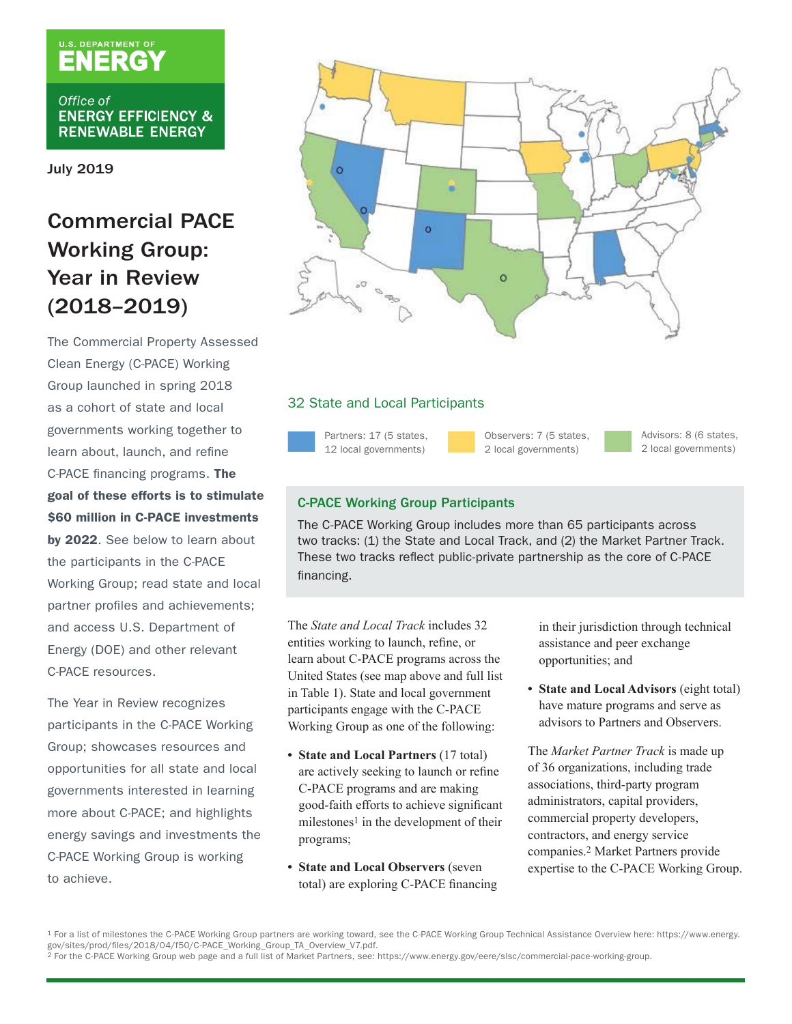# U.S. DEPARTMENT OF

Office of **ENERGY EFFICIENCY & RENEWABLE ENERGY** 

July 2019

# Commercial PACE Working Group: Year in Review (2018–2019)

The Commercial Property Assessed Clean Energy (C-PACE) Working Group launched in spring 2018 as a cohort of state and local governments working together to learn about, launch, and refine C-PACE financing programs. The goal of these efforts is to stimulate \$60 million in C-PACE investments by 2022. See below to learn about the participants in the C-PACE Working Group; read state and local partner profiles and achievements; and access U.S. Department of Energy (DOE) and other relevant C-PACE resources.

The Year in Review recognizes participants in the C-PACE Working Group; showcases resources and opportunities for all state and local governments interested in learning more about C-PACE; and highlights energy savings and investments the C-PACE Working Group is working to achieve.



### 32 State and Local Participants

Partners: 17 (5 states, 12 local governments)

Observers: 7 (5 states, 2 local governments)

Advisors: 8 (6 states, 2 local governments)

# C-PACE Working Group Participants

The C-PACE Working Group includes more than 65 participants across two tracks: (1) the State and Local Track, and (2) the Market Partner Track. These two tracks reflect public-private partnership as the core of C-PACE financing.

The *State and Local Track* includes 32 entities working to launch, refine, or learn about C-PACE programs across the United States (see map above and full list in Table 1). State and local government participants engage with the C-PACE Working Group as one of the following:

- **• State and Local Partners** (17 total) are actively seeking to launch or refine C-PACE programs and are making good-faith efforts to achieve significant milestones<sup>1</sup> in the development of their programs;
- **• State and Local Observers** (seven total) are exploring C-PACE financing

in their jurisdiction through technical assistance and peer exchange opportunities; and

**• State and Local Advisors** (eight total) have mature programs and serve as advisors to Partners and Observers.

The *Market Partner Track* is made up of 36 organizations, including trade associations, third-party program administrators, capital providers, commercial property developers, contractors, and energy service companies.2 Market Partners provide expertise to the C-PACE Working Group.

<sup>1</sup> For a list of milestones the C-PACE Working Group partners are working toward, see the C-PACE Working Group Technical Assistance Overview here: [https://www.energy.](https://www.energy.gov/sites/prod/files/2018/04/f50/C-PACE_Working_Group_TA_Overview_V7.pdf)<br>gov/sites/prod/files/2018/04/f50/C-PACE\_Working\_Group\_TA

<sup>&</sup>lt;sup>2</sup> For the C-PACE Working Group web page and a full list of Market Partners, see:<https://www.energy.gov/eere/slsc/commercial-pace-working-group>.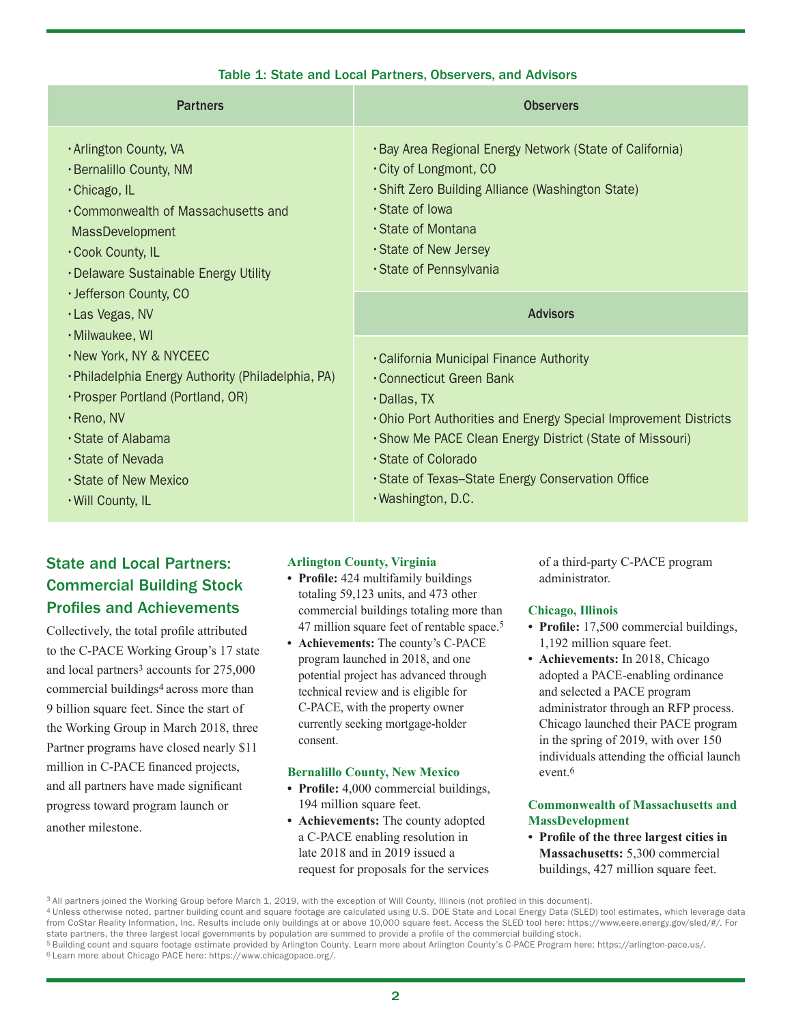| <b>Partners</b>                                                                                                                                                                                                                                                                              | <b>Observers</b>                                                                                                                                                                                                                                                                                                             |
|----------------------------------------------------------------------------------------------------------------------------------------------------------------------------------------------------------------------------------------------------------------------------------------------|------------------------------------------------------------------------------------------------------------------------------------------------------------------------------------------------------------------------------------------------------------------------------------------------------------------------------|
| · Arlington County, VA<br>· Bernalillo County, NM<br>· Chicago, IL<br>. Commonwealth of Massachusetts and<br><b>MassDevelopment</b><br>. Cook County, IL<br>. Delaware Sustainable Energy Utility<br>· Jefferson County, CO<br>· Las Vegas, NV<br>· Milwaukee, WI<br>· New York, NY & NYCEEC | . Bay Area Regional Energy Network (State of California)<br>City of Longmont, CO<br>· Shift Zero Building Alliance (Washington State)<br>· State of Iowa<br>· State of Montana<br>· State of New Jersey<br>· State of Pennsylvania<br><b>Advisors</b>                                                                        |
| · Philadelphia Energy Authority (Philadelphia, PA)<br>· Prosper Portland (Portland, OR)<br>$\cdot$ Reno, NV<br>· State of Alabama<br>· State of Nevada<br>⋅State of New Mexico<br>. Will County, IL                                                                                          | . California Municipal Finance Authority<br>• Connecticut Green Bank<br>$\cdot$ Dallas, TX<br>. Ohio Port Authorities and Energy Special Improvement Districts<br>. Show Me PACE Clean Energy District (State of Missouri)<br>· State of Colorado<br>• State of Texas–State Energy Conservation Office<br>· Washington, D.C. |

#### Table 1: State and Local Partners, Observers, and Advisors

# State and Local Partners: Commercial Building Stock Profiles and Achievements

Collectively, the total profile attributed to the C-PACE Working Group's 17 state and local partners<sup>3</sup> accounts for 275,000 commercial buildings4 across more than 9 billion square feet. Since the start of the Working Group in March 2018, three Partner programs have closed nearly \$11 million in C-PACE financed projects, and all partners have made significant progress toward program launch or another milestone.

#### **Arlington County, Virginia**

- **• Profile:** 424 multifamily buildings totaling 59,123 units, and 473 other commercial buildings totaling more than 47 million square feet of rentable space.5
- **• Achievements:** The county's C-PACE program launched in 2018, and one potential project has advanced through technical review and is eligible for C-PACE, with the property owner currently seeking mortgage-holder consent.

#### **Bernalillo County, New Mexico**

- **• Profile:** 4,000 commercial buildings, 194 million square feet.
- **• Achievements:** The county adopted a C-PACE enabling resolution in late 2018 and in 2019 issued a request for proposals for the services

of a third-party C-PACE program administrator.

#### **Chicago, Illinois**

- **• Profile:** 17,500 commercial buildings, 1,192 million square feet.
- **• Achievements:** In 2018, Chicago adopted a PACE-enabling ordinance and selected a PACE program administrator through an RFP process. Chicago launched their PACE program in the spring of 2019, with over 150 individuals attending the official launch event <sup>6</sup>

#### **Commonwealth of Massachusetts and MassDevelopment**

**• Profile of the three largest cities in Massachusetts:** 5,300 commercial buildings, 427 million square feet.

<sup>3</sup> All partners joined the Working Group before March 1, 2019, with the exception of Will County, Illinois (not profiled in this document).

<sup>4</sup> Unless otherwise noted, partner building count and square footage are calculated using U.S. DOE State and Local Energy Data (SLED) tool estimates, which leverage data from CoStar Reality Information, Inc. Results include only buildings at or above 10,000 square feet. Access the SLED tool here:<https://www.eere.energy.gov/sled/#/>. For state partners, the three largest local governments by population are summed to provide a profile of the commercial building stock.

<sup>5</sup> Building count and square footage estimate provided by Arlington County. Learn more about Arlington County's C-PACE Program here: [https://arlington-pace.us/.](https://arlington-pace.us/) 6 Learn more about Chicago PACE here: [https://www.chicagopace.org/.](https://www.delawarecpace.org/)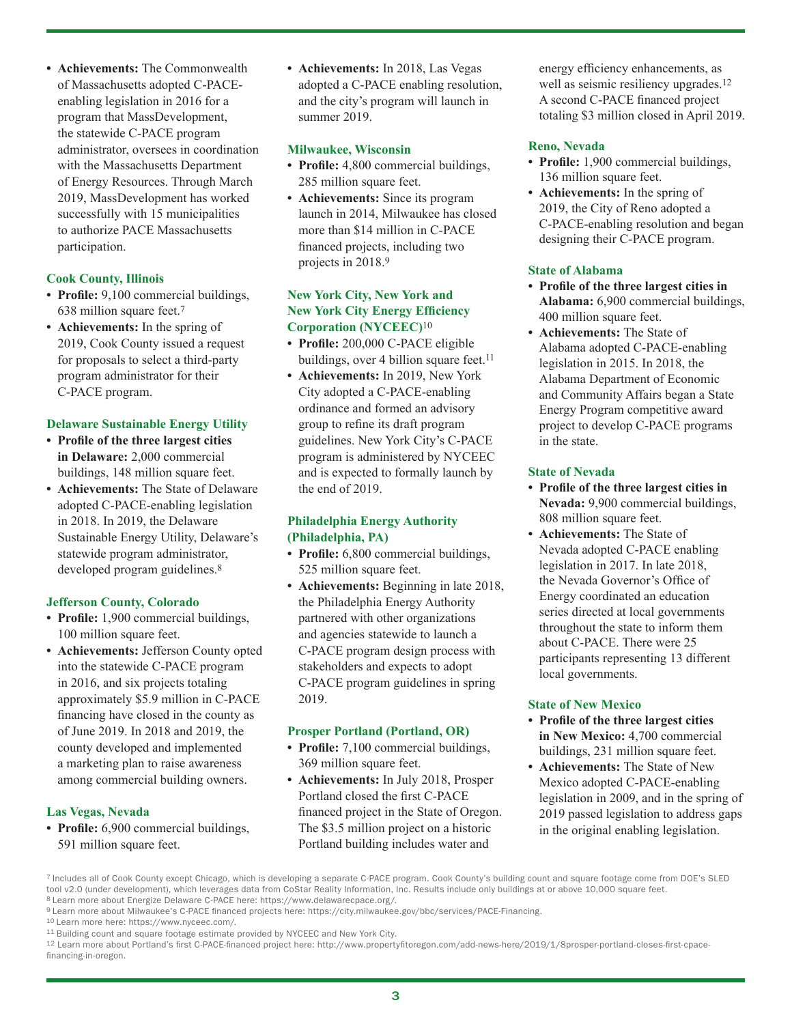**• Achievements:** The Commonwealth of Massachusetts adopted C-PACEenabling legislation in 2016 for a program that MassDevelopment, the statewide C-PACE program administrator, oversees in coordination with the Massachusetts Department of Energy Resources. Through March 2019, MassDevelopment has worked successfully with 15 municipalities to authorize PACE Massachusetts participation.

#### **Cook County, Illinois**

- **• Profile:** 9,100 commercial buildings, 638 million square feet.7
- **• Achievements:** In the spring of 2019, Cook County issued a request for proposals to select a third-party program administrator for their C-PACE program.

#### **Delaware Sustainable Energy Utility**

- **• Profile of the three largest cities in Delaware:** 2,000 commercial buildings, 148 million square feet.
- **• Achievements:** The State of Delaware adopted C-PACE-enabling legislation in 2018. In 2019, the Delaware Sustainable Energy Utility, Delaware's statewide program administrator, developed program guidelines.<sup>8</sup>

#### **Jefferson County, Colorado**

- **• Profile:** 1,900 commercial buildings, 100 million square feet.
- **• Achievements:** Jefferson County opted into the statewide C-PACE program in 2016, and six projects totaling approximately \$5.9 million in C-PACE financing have closed in the county as of June 2019. In 2018 and 2019, the county developed and implemented a marketing plan to raise awareness among commercial building owners.

#### **Las Vegas, Nevada**

**• Profile:** 6,900 commercial buildings, 591 million square feet.

**• Achievements:** In 2018, Las Vegas adopted a C-PACE enabling resolution, and the city's program will launch in summer 2019.

#### **Milwaukee, Wisconsin**

- **• Profile:** 4,800 commercial buildings, 285 million square feet.
- **• Achievements:** Since its program launch in 2014, Milwaukee has closed more than \$14 million in C-PACE financed projects, including two projects in 2018.9

#### **New York City, New York and New York City Energy Efficiency Corporation (NYCEEC)**10

- **• Profile:** 200,000 C-PACE eligible buildings, over 4 billion square feet.<sup>11</sup>
- **• Achievements:** In 2019, New York City adopted a C-PACE-enabling ordinance and formed an advisory group to refine its draft program guidelines. New York City's C-PACE program is administered by NYCEEC and is expected to formally launch by the end of 2019.

#### **Philadelphia Energy Authority (Philadelphia, PA)**

- **• Profile:** 6,800 commercial buildings, 525 million square feet.
- **• Achievements:** Beginning in late 2018, the Philadelphia Energy Authority partnered with other organizations and agencies statewide to launch a C-PACE program design process with stakeholders and expects to adopt C-PACE program guidelines in spring 2019.

#### **Prosper Portland (Portland, OR)**

- **• Profile:** 7,100 commercial buildings, 369 million square feet.
- **• Achievements:** In July 2018, Prosper Portland closed the first C-PACE financed project in the State of Oregon. The \$3.5 million project on a historic Portland building includes water and

energy efficiency enhancements, as well as seismic resiliency upgrades.<sup>12</sup> A second C-PACE financed project totaling \$3 million closed in April 2019.

#### **Reno, Nevada**

- **• Profile:** 1,900 commercial buildings, 136 million square feet.
- **• Achievements:** In the spring of 2019, the City of Reno adopted a C-PACE-enabling resolution and began designing their C-PACE program.

#### **State of Alabama**

- **• Profile of the three largest cities in Alabama:** 6,900 commercial buildings, 400 million square feet.
- **• Achievements:** The State of Alabama adopted C-PACE-enabling legislation in 2015. In 2018, the Alabama Department of Economic and Community Affairs began a State Energy Program competitive award project to develop C-PACE programs in the state.

#### **State of Nevada**

- **• Profile of the three largest cities in Nevada:** 9,900 commercial buildings, 808 million square feet.
- **• Achievements:** The State of Nevada adopted C-PACE enabling legislation in 2017. In late 2018, the Nevada Governor's Office of Energy coordinated an education series directed at local governments throughout the state to inform them about C-PACE. There were 25 participants representing 13 different local governments.

#### **State of New Mexico**

- **• Profile of the three largest cities in New Mexico:** 4,700 commercial buildings, 231 million square feet.
- **• Achievements:** The State of New Mexico adopted C-PACE-enabling legislation in 2009, and in the spring of 2019 passed legislation to address gaps in the original enabling legislation.

<sup>7</sup> Includes all of Cook County except Chicago, which is developing a separate C-PACE program. Cook County's building count and square footage come from DOE's SLED tool v2.0 (under development), which leverages data from CoStar Reality Information, Inc. Results include only buildings at or above 10,000 square feet.

<sup>&</sup>lt;sup>8</sup> Learn more about Energize Delaware C-PACE here: [https://www.delawarecpace.org/.](https://www.delawarecpace.org/)<br><sup>9</sup> Learn more about Milwaukee's C-PACE financed projects here:<https://city.milwaukee.gov/bbc/services/PACE-Financing>.<br><sup>10</sup> Learn more he

<sup>12</sup> Learn more about Portland's first C-PACE-financed project here: [http://www.propertyfitoregon.com/add-news-here/2019/1/8prosper-portland-closes-first-cpace](http://www.propertyfitoregon.com/add-news-here/2019/1/8prosper-portland-closes-first-cpace-financing-in-oregon)[financing-in-oregon](http://www.propertyfitoregon.com/add-news-here/2019/1/8prosper-portland-closes-first-cpace-financing-in-oregon).